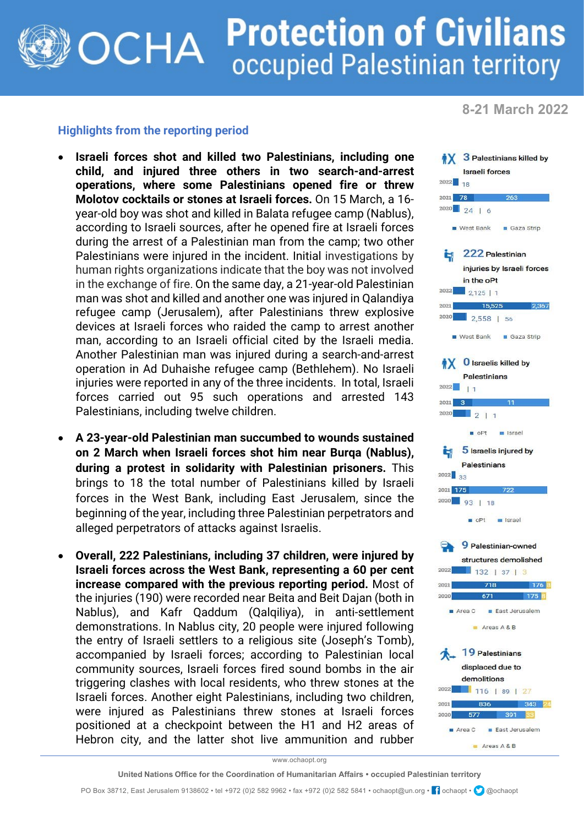## **Protection of Civilians OCHA** occupied Palestinian territory

**8-21 March 2022**

## **Highlights from the reporting period**

- **Israeli forces shot and killed two Palestinians, including one child, and injured three others in two search-and-arrest operations, where some Palestinians opened fire or threw Molotov cocktails or stones at Israeli forces.** On 15 March, a 16 year-old boy was shot and killed in Balata refugee camp (Nablus), according to Israeli sources, after he opened fire at Israeli forces during the arrest of a Palestinian man from the camp; two other Palestinians were injured in the incident. Initial investigations by human rights organizations indicate that the boy was not involved in the exchange of fire. On the same day, a 21-year-old Palestinian man was shot and killed and another one was injured in Qalandiya refugee camp (Jerusalem), after Palestinians threw explosive devices at Israeli forces who raided the camp to arrest another man, according to an Israeli official cited by the Israeli media. Another Palestinian man was injured during a search-and-arrest operation in Ad Duhaishe refugee camp (Bethlehem). No Israeli injuries were reported in any of the three incidents. In total, Israeli forces carried out 95 such operations and arrested 143 Palestinians, including twelve children.
- **A 23-year-old Palestinian man succumbed to wounds sustained on 2 March when Israeli forces shot him near Burqa (Nablus), during a protest in solidarity with Palestinian prisoners.** This brings to 18 the total number of Palestinians killed by Israeli forces in the West Bank, including East Jerusalem, since the beginning of the year, including three Palestinian perpetrators and alleged perpetrators of attacks against Israelis.
- **Overall, 222 Palestinians, including 37 children, were injured by Israeli forces across the West Bank, representing a 60 per cent increase compared with the previous reporting period.** Most of the injuries (190) were recorded near Beita and Beit Dajan (both in Nablus), and Kafr Qaddum (Qalqiliya), in anti-settlement demonstrations. In Nablus city, 20 people were injured following the entry of Israeli settlers to a religious site (Joseph's Tomb), accompanied by Israeli forces; according to Palestinian local community sources, Israeli forces fired sound bombs in the air triggering clashes with local residents, who threw stones at the Israeli forces. Another eight Palestinians, including two children, were injured as Palestinians threw stones at Israeli forces positioned at a checkpoint between the H1 and H2 areas of Hebron city, and the latter shot live ammunition and rubber



www.ochaopt.org

PO Box 38712, East Jerusalem 9138602 • tel +972 (0)2 582 9962 • fax +972 (0)2 582 5841 • ochaopt@un.org • <sup>1</sup> ochaopt • @ @ochaopt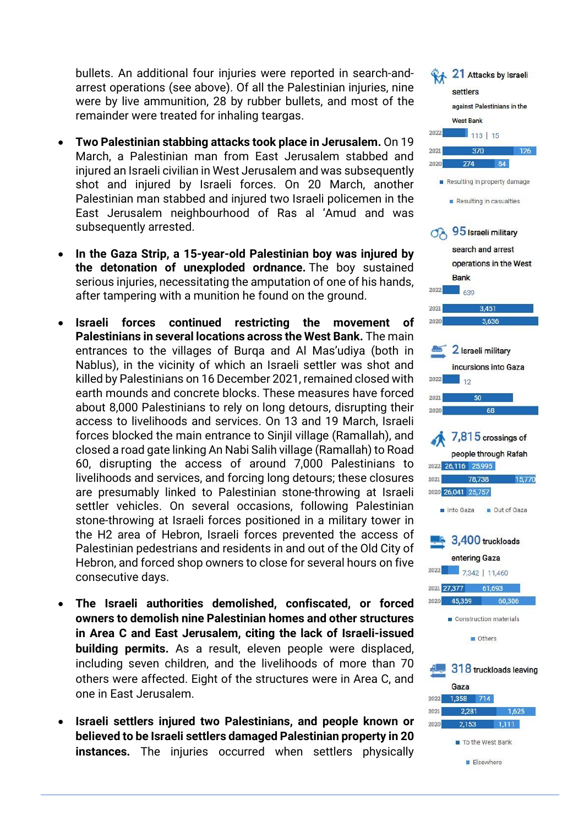bullets. An additional four injuries were reported in search-andarrest operations (see above). Of all the Palestinian injuries, nine were by live ammunition, 28 by rubber bullets, and most of the remainder were treated for inhaling teargas.

- **Two Palestinian stabbing attacks took place in Jerusalem.** On 19 March, a Palestinian man from East Jerusalem stabbed and injured an Israeli civilian in West Jerusalem and was subsequently shot and injured by Israeli forces. On 20 March, another Palestinian man stabbed and injured two Israeli policemen in the East Jerusalem neighbourhood of Ras al 'Amud and was subsequently arrested.
- **In the Gaza Strip, a 15-year-old Palestinian boy was injured by the detonation of unexploded ordnance.** The boy sustained serious injuries, necessitating the amputation of one of his hands, after tampering with a munition he found on the ground.
- **Israeli forces continued restricting the movement of Palestinians in several locations across the West Bank.** The main entrances to the villages of Burqa and Al Mas'udiya (both in Nablus), in the vicinity of which an Israeli settler was shot and killed by Palestinians on 16 December 2021, remained closed with earth mounds and concrete blocks. These measures have forced about 8,000 Palestinians to rely on long detours, disrupting their access to livelihoods and services. On 13 and 19 March, Israeli forces blocked the main entrance to Sinjil village (Ramallah), and closed a road gate linking An Nabi Salih village (Ramallah) to Road 60, disrupting the access of around 7,000 Palestinians to livelihoods and services, and forcing long detours; these closures are presumably linked to Palestinian stone-throwing at Israeli settler vehicles. On several occasions, following Palestinian stone-throwing at Israeli forces positioned in a military tower in the H2 area of Hebron, Israeli forces prevented the access of Palestinian pedestrians and residents in and out of the Old City of Hebron, and forced shop owners to close for several hours on five consecutive days.
- **The Israeli authorities demolished, confiscated, or forced owners to demolish nine Palestinian homes and other structures in Area C and East Jerusalem, citing the lack of Israeli-issued building permits.** As a result, eleven people were displaced, including seven children, and the livelihoods of more than 70 others were affected. Eight of the structures were in Area C, and one in East Jerusalem.
- **Israeli settlers injured two Palestinians, and people known or believed to be Israeli settlers damaged Palestinian property in 20 instances.** The injuries occurred when settlers physically